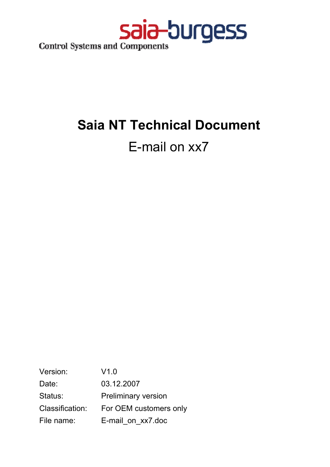

# **Saia NT Technical Document**

## E-mail on xx7

Version: V1.0 Date: 03.12.2007 Status: Preliminary version Classification: For OEM customers only File name: E-mail on xx7.doc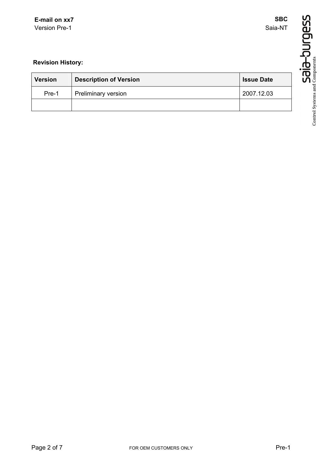**SBC** Saia-NT

## **Revision History:**

| <b>Version</b> | <b>Description of Version</b> | <b>Issue Date</b> |
|----------------|-------------------------------|-------------------|
| Pre-1          | Preliminary version           | 2007.12.03        |
|                |                               |                   |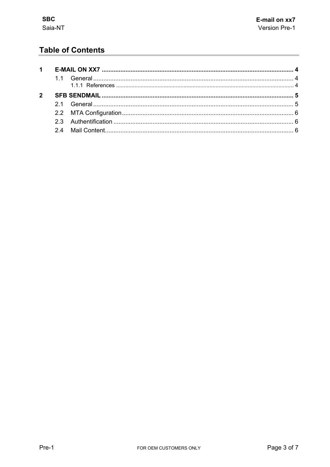## **Table of Contents**

| $1 \quad$   |  |  |
|-------------|--|--|
|             |  |  |
| $2^{\circ}$ |  |  |
|             |  |  |
|             |  |  |
|             |  |  |
|             |  |  |
|             |  |  |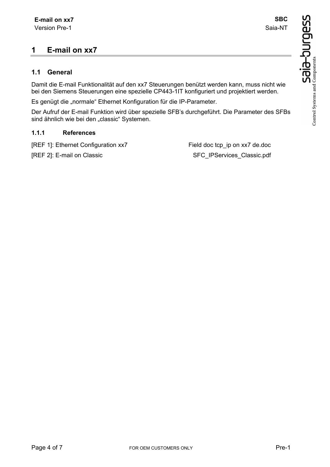## **1 E-mail on xx7**

#### **1.1 General**

Damit die E-mail Funktionalität auf den xx7 Steuerungen benützt werden kann, muss nicht wie bei den Siemens Steuerungen eine spezielle CP443-1IT konfiguriert und projektiert werden.

Es genügt die "normale" Ethernet Konfiguration für die IP-Parameter.

Der Aufruf der E-mail Funktion wird über spezielle SFB's durchgeführt. Die Parameter des SFBs sind ähnlich wie bei den "classic" Systemen.

#### **1.1.1 References**

[REF 1]: Ethernet Configuration xx7 Field doc tcp\_ip on xx7 de.doc

[REF 2]: E-mail on Classic SFC\_IPServices\_Classic.pdf

**SBC** Saia-NT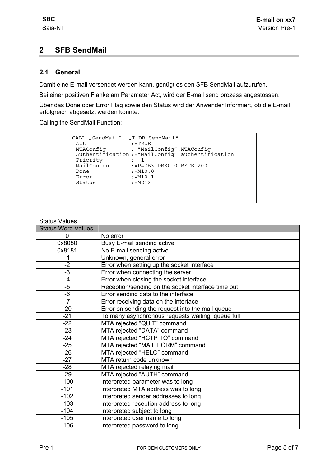## **2 SFB SendMail**

#### **2.1 General**

Damit eine E-mail versendet werden kann, genügt es den SFB SendMail aufzurufen.

Bei einer positiven Flanke am Parameter Act, wird der E-mail send prozess angestossen.

Über das Done oder Error Flag sowie den Status wird der Anwender Informiert, ob die E-mail erfolgreich abgesetzt werden konnte.

Calling the SendMail Function:

```
CALL "SendMail", "I DB SendMail"<br>Act :=TRUE
                 \ddot{\hspace{0.1cm}} : =TRUE
MTAConfig :="MailConfig".MTAConfig 
Authentification :="MailConfig".authentification 
Priority := 1
MailContent :=P#DB3.DBX0.0 BYTE 200<br>Done :=M10.0
Done :=M10.0
Error :=M10.1 
Status :=MD12
```

| <b>Status Word Values</b> |                                                    |
|---------------------------|----------------------------------------------------|
| 0                         | No error                                           |
| 0x8080                    | Busy E-mail sending active                         |
| 0x8181                    | No E-mail sending active                           |
| -1                        | Unknown, general error                             |
| $-2$                      | Error when setting up the socket interface         |
| $-3$                      | Error when connecting the server                   |
| $-4$                      | Error when closing the socket interface            |
| $-5$                      | Reception/sending on the socket interface time out |
| $-6$                      | Error sending data to the interface                |
| $-7$                      | Error receiving data on the interface              |
| $-20$                     | Error on sending the request into the mail queue   |
| $-21$                     | To many asynchronous requests waiting, queue full  |
| $-22$                     | MTA rejected "QUIT" command                        |
| $-23$                     | MTA rejected "DATA" command                        |
| $-24$                     | MTA rejected "RCTP TO" command                     |
| $-25$                     | MTA rejected "MAIL FORM" command                   |
| $-26$                     | MTA rejected "HELO" command                        |
| $-27$                     | MTA return code unknown                            |
| $-28$                     | MTA rejected relaying mail                         |
| $-29$                     | MTA rejected "AUTH" command                        |
| $-100$                    | Interpreted parameter was to long                  |
| $-101$                    | Interpreted MTA address was to long                |
| $-102$                    | Interpreted sender addresses to long               |
| $-103$                    | Interpreted reception address to long              |
| $-104$                    | Interpreted subject to long                        |
| $-105$                    | Interpreted user name to long                      |
| $-106$                    | Interpreted password to long                       |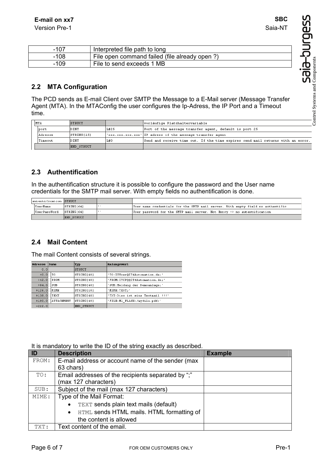| $-107$ | Interpreted file path to long                 |
|--------|-----------------------------------------------|
| $-108$ | File open command failed (file already open?) |
| $-109$ | File to send exceeds 1 MB                     |

### **2.2 MTA Configuration**

The PCD sends as E-mail Client over SMTP the Message to a E-Mail server (Message Transfer Agent (MTA). In the MTAConfig the user configures the Ip-Adress, the IP Port and a Timeout time.

| <b>IMTA</b> | STRUCT      |      | vorläufige Platzhaltervariable                                                  |
|-------------|-------------|------|---------------------------------------------------------------------------------|
| lport       | DINT        | L#25 | Port of the message transfer agent, default is port 25                          |
| lAdresse    | STRING[15]  |      | 'xxx.xxx.xxx.xxx' IP adress of the message transfer agent                       |
| Timeout     | <b>DINT</b> | L#O  | Send and receive time out. If the time expires send mail returns with an error. |
|             | EMD STRUCT  |      |                                                                                 |

#### **2.3 Authentification**

In the authentification structure it is possible to configure the password and the User name credentials for the SMTP mail server. With empty fields no authentification is done.

| autentification STRUCT |             |                                                                                 |
|------------------------|-------------|---------------------------------------------------------------------------------|
| UserName               | STRING1641  | User name credentials for the SMTP mail server. With empty field no authentific |
| UserPassWord           | ISTRINGI641 | User password for the SMTP mail server. Not Entry -> no autentification         |
|                        | END STRUCT  |                                                                                 |

#### **2.4 Mail Content**

The mail Content consists of several strings.

| Adresse   | Name       | Typ           | <b>Anfangswert</b>               |  |
|-----------|------------|---------------|----------------------------------|--|
| 0.0       |            | <b>STRUCT</b> |                                  |  |
| $+0.0$    | TO         | STRING[40]    | 'TO: ITUser@IT4Automation.de;'   |  |
| $+42.0$   | FROM       | STRING[40]    | 'FROM: ITCP@@IT4Automation.de;'  |  |
| $+84.0$   | <b>SUB</b> | STRING[40]    | 'SUB: Meldung der Demoanlage;'   |  |
| $+126.0$  | MIME       | STRING[10]    | 'MIME: TEXT;'                    |  |
| $+138.0$  | TEXT       | STRING[40]    | 'TXT:Dies ist eine Testmail !!!' |  |
| $+180.0$  | ATTACHMENT | STRING[40]    | 'FILE: M1 FLASH: /myfile.pdf;'   |  |
| $= 222.0$ |            | END STRUCT    |                                  |  |

#### It is mandatory to write the ID of the string exactly as described.

| ID    | <b>Description</b>                                     | <b>Example</b> |
|-------|--------------------------------------------------------|----------------|
| FROM: | E-mail address or account name of the sender (max      |                |
|       | 63 chars)                                              |                |
| TO:   | Email addresses of the recipients separated by ";"     |                |
|       | (max 127 characters)                                   |                |
| SUB:  | Subject of the mail (max 127 characters)               |                |
| MIME: | Type of the Mail Format:                               |                |
|       | TEXT sends plain text mails (default)<br>$\bullet$     |                |
|       | HTML sends HTML mails. HTML formatting of<br>$\bullet$ |                |
|       | the content is allowed                                 |                |
| TXT:  | Text content of the email.                             |                |